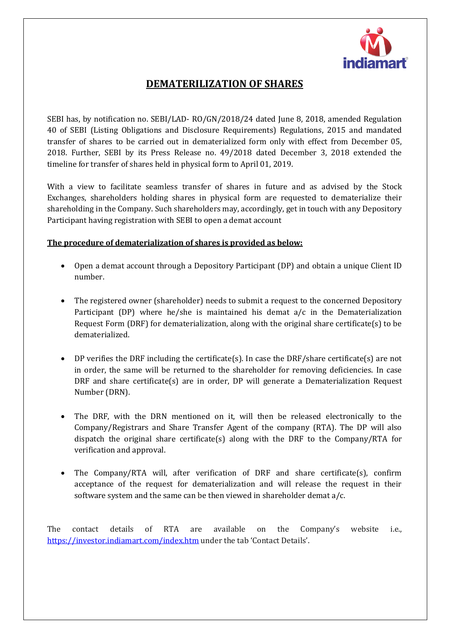

## **DEMATERILIZATION OF SHARES**

SEBI has, by notification no. SEBI/LAD- RO/GN/2018/24 dated June 8, 2018, amended Regulation 40 of SEBI (Listing Obligations and Disclosure Requirements) Regulations, 2015 and mandated transfer of shares to be carried out in dematerialized form only with effect from December 05, 2018. Further, SEBI by its Press Release no. 49/2018 dated December 3, 2018 extended the timeline for transfer of shares held in physical form to April 01, 2019.

With a view to facilitate seamless transfer of shares in future and as advised by the Stock Exchanges, shareholders holding shares in physical form are requested to dematerialize their shareholding in the Company. Such shareholders may, accordingly, get in touch with any Depository Participant having registration with SEBI to open a demat account

## **The procedure of dematerialization of shares is provided as below:**

- Open a demat account through a Depository Participant (DP) and obtain a unique Client ID number.
- The registered owner (shareholder) needs to submit a request to the concerned Depository Participant (DP) where he/she is maintained his demat a/c in the Dematerialization Request Form (DRF) for dematerialization, along with the original share certificate(s) to be dematerialized.
- DP verifies the DRF including the certificate(s). In case the DRF/share certificate(s) are not in order, the same will be returned to the shareholder for removing deficiencies. In case DRF and share certificate(s) are in order, DP will generate a Dematerialization Request Number (DRN).
- The DRF, with the DRN mentioned on it, will then be released electronically to the Company/Registrars and Share Transfer Agent of the company (RTA). The DP will also dispatch the original share certificate(s) along with the DRF to the Company/RTA for verification and approval.
- The Company/RTA will, after verification of DRF and share certificate(s), confirm acceptance of the request for dematerialization and will release the request in their software system and the same can be then viewed in shareholder demat a/c.

The contact details of RTA are available on the Company's website i.e., <https://investor.indiamart.com/index.htm> under the tab 'Contact Details'.